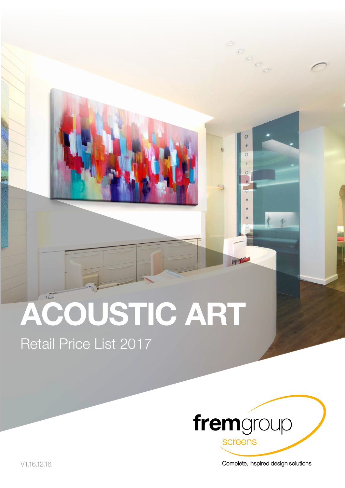# $H_{\text{L}}$ ACOUSTIC ART

# **Retail Price List 2017**



 $\overline{O}$ 

Complete, inspired design solutions

 $V1.16.12.16$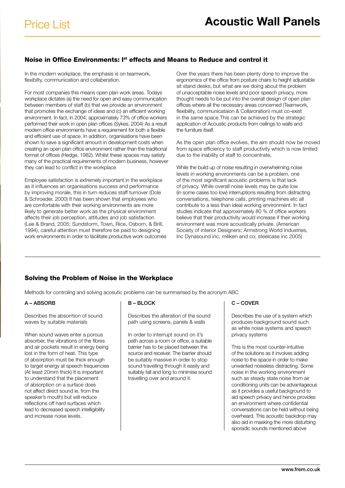#### Noise in Office Environments: Ist effects and Means to Reduce and control it

In the modern workplace, the emphasis is on teamwork, flexibilty, communication and collaberation.

For most companies this means open plan work areas. Todays workplace dictates (a) the need for open and easy communication between members of staff (b) that we provide an environment that promotes the exchange of ideas and (c) an efficient working environment. In fact, in 2004, approximately 73% of office workers performed their work in open plan offices (Sykes, 2004) As a result modern office environments have a requirement for both a flexible and efficient use of space. In addition, organisations have been shown to save a significant amount in development costs when creating an open plan office environment rather than the traditional format of offices (Hedge, 1982). Whilst these spaces may satisfy many of the practical requirements of modern business, however they can lead to conflict in the workplace

Employee satisfaction is extremely important in the workplace as it influences an organisations success and performance by improving morale, this in turn reduces staff turnover (Dole & Schroeder, 2000) It has been shown that employees who are comfortable with their working environments are more likely to generate better work as the physical environment affects their job perception, attitudes and job satisfaction (Lee & Brand, 2005; Sundstorm, Town, Rice, Osborn, & Brill, 1994), careful attention must therefore be paid to designing work environments in order to facilitate productive work outcomes Over the years there has been plenty done to improve the ergonomics of the office from posture chairs to height adjustable sit stand desks, but what are we doing about the problem of unacceptable noise levels and poor speech privacy, more thought needs to be put into the overall design of open plan offices where all the necessary areas concerned (Teamwork, flexibility, communicataion & Collaroration) must co-exist in the same space.This can be achieved by the strategic application of Acoustic products from ceilings to walls and the furniture itself.

As the open plan office evolves, the aim should now be moved from space efficiency to staff productivity which is now limited due to the inability of staff to concentrate,

While the build up of noise resulting in overwhelming noise levels in working environments can be a problem, one of the most significant acoustic problems is that lack of privacy. While overall noise levels may be quite low (in some cases too low) interruptions resulting from distracting conversations, telephone calls, printing machines etc all contribute to a less than ideal working environment. In fact studies indicate that approximately 80 % of office workers believe that their productivity would increase if their working environment was more acoustically private. (American Society of interior Designers; Armstrong World Industries, Inc Dynasound inc, miliken and co; steelcase inc 2005)

#### Solving the Problem of Noise in the Workplace

Methods for controling and solving acosutic problems can be summarised by the acronym ABC

#### A – ABSORB

Describes the absorrtion of sound waves by suitable materials

When sound waves enter a porous absorber, the vibrations of the fibres and air pockets result in energy being lost in the form of heat. This type of absorption must be thick enough to target energy at speech frequencies (At least 20mm thick) It is important to understand that the placement of absorption on a surface does not affect direct sound ie. from the speaker's mouth) but will reduce reflections off hard surfaces which lead to decreased speech intelligibility and increase noise levels.

#### B – BLOCK

Describes the alteration of the sound path using screens, panels & walls

In order to interrupt sound on it's path across a room or office, a suitable barrier has to be placed between the source and receiver. The barrier should be suitably massive in order to stop sound travelling through it easily and suitably tall and long to minimise sound travelling over and around it.

#### C – COVER

Describes the use of a system which produces background sound such as white noise systems and speech privacy systems

This is the most counter-intuitive of the solutions as it involves adding noise to the space in order to make unwanted noiseless distracting. Some noise in the working environment such as steady state noise from air conditioning units can be advantageous as it provides a useful background to aid speech privacy and hence provides an environment where confidential conversations can be held without being overheard. This acoustic backdrop may also aid in masking the more disturbing sporadic sounds mentioned above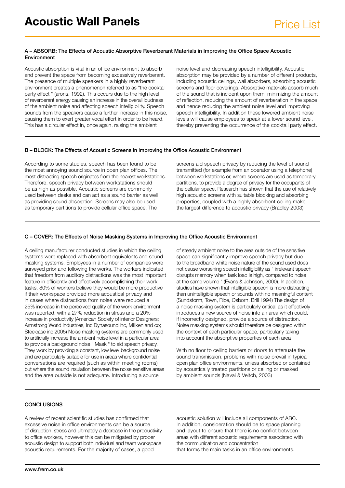#### A – ABSORB: The Effects of Acoustic Absorptive Reverberant Materials in Improving the Office Space Acoustic Environment

Acoustic absorption is vital in an office environment to absorb and prevent the space from becoming excessively reverberant. The presence of multiple speakers in a highly reverberant environment creates a phenomenon referred to as "the cocktail party effect " (arons, 1992). This occurs due to the high level of reverberant energy causing an increase in the overall loudness of the ambient noise and affecting speech intelligibility. Speech sounds from the speakers cause a further increase in this noise, causing them to exert greater vocal effort in order to be heard. This has a circular effect in, once again, raising the ambient

noise level and decreasing speech intelligibility. Acoustic absorption may be provided by a number of different products, including acoustic ceilings, wall absorbers, absorbing acoustic screens and floor coverings. Absorptive materials absorb much of the sound that is incident upon them, minimizing the amount of reflection, reducing the amount of reverberation in the space and hence reducing the ambient noise level and improving speech intelligibility. In addition these lowered ambient noise levels will cause employees to speak at a lower sound level, thereby preventing the occurrence of the cocktail party effect.

#### B – BLOCK: The Effects of Acoustic Screens in improving the Office Acoustic Environment

According to some studies, speech has been found to be the most annoying sound source in open plan offices. The most distracting speech originates from the nearest workstations. Therefore, speech privacy between workstations should be as high as possible. Acoustic screens are commonly used between desks and can act as a sound barrier as well as providing sound absorption. Screens may also be used as temporary partitions to provide cellular office space. The

screens aid speech privacy by reducing the level of sound transmitted (for example from an operator using a telephone) between workstations or, where screens are used as temporary partitions, to provide a degree of privacy for the occupants of the cellular space. Research has shown that the use of relatively high acoustic screens with suitable blocking and absorbing properties, coupled with a highly absorbent ceiling make the largest difference to acoustic privacy (Bradley 2003)

#### C – COVER: The Effects of Noise Masking Systems in Improving the Office Acoustic Environment

A ceiling manufacturer conducted studies in which the ceiling systems were replaced with absorbent equivalents and sound masking systems. Employees in a number of companies were surveyed prior and following the works. The workers indicated that freedom from auditory distractions was the most important feature in efficiently and effectively accomplishing their work tasks. 80% of workers believe they would be more productive if their workspace provided more acoustical privacy and in cases where distractions from noise were reduced a 25% increase in the perceived quality of the work environment was reported, with a 27% reduction in stress and a 20% increase in productivity (American Society of interior Designers; Armstrong World Industries, Inc Dynasound inc, Miliken and co; Steelcase inc 2005) Noise masking systems are commonly used to artificially increase the ambient noise level in a particular area to provide a background noise " Mask " to aid speech privacy. They work by providing a constant, low level background noise and are particularly suitable for use in areas where confidential conversations are required (such as within meeting rooms) but where the sound insulation between the noise sensitive areas and the area outside is not adequate. Introducing a source

of steady ambient noise to the area outside of the sensitive space can significantly improve speech privacy but due to the broadband white noise nature of the sound used does not cause worsening speech intelligibility as " irrelevant speech disrupts memory when task load is high, compared to noise at the same volume " (Evans & Johnson, 2000). In addition, studies have shown that intelligible speech is more distracting than unintelligible speech or sounds with no meaningful content (Sundstorm, Town, Rice, Osborn, Brill 1994) The design of a noise masking system is particularly critical as it effectively introduces a new source of noise into an area which could, if incorrectly designed, provide a source of distraction. Noise masking systems should therefore be designed within the context of each particular space, particularly taking into account the absorptive properties of each area

With no floor to ceiling barriers or doors to attenuate the sound transmission, problems with noise prevail in typical open plan office environments, unless absorbed or contained by acoustically treated partitions or ceiling or masked by ambient sounds (Navai & Veitch, 2003)

#### CONCLUSIONS

A review of recent scientific studies has confirmed that excessive noise in office environments can be a source of disruption, stress and ultimately a decrease in the productivity to office workers, however this can be mitigated by proper acoustic design to support both individual and team workspace acoustic requirements. For the majority of cases, a good

acoustic solution will include all components of ABC. In addition, consideration should be to space planning and layout to ensure that there is no conflict between areas with different acoustic requirements associated with the communication and concentration that forms the main tasks in an office environments.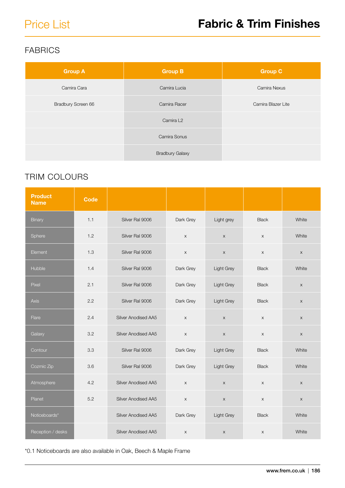## FABRICS

| <b>Group A</b>     | <b>Group B</b>         | <b>Group C</b>     |  |
|--------------------|------------------------|--------------------|--|
| Camira Cara        | Camira Lucia           | Camira Nexus       |  |
| Bradbury Screen 66 | Camira Racer           | Camira Blazer Lite |  |
|                    | Camira L <sub>2</sub>  |                    |  |
|                    | Camira Sonus           |                    |  |
|                    | <b>Bradbury Galaxy</b> |                    |  |

# TRIM COLOURS

| <b>Product</b><br><b>Name</b> | <b>Code</b> |                     |              |                   |              |              |
|-------------------------------|-------------|---------------------|--------------|-------------------|--------------|--------------|
| <b>Binary</b>                 | 1.1         | Silver Ral 9006     | Dark Grey    | Light grey        | <b>Black</b> | White        |
| Sphere                        | 1.2         | Silver Ral 9006     | $\mathsf X$  | $\mathsf X$       | $\mathsf X$  | White        |
| Element                       | 1.3         | Silver Ral 9006     | $\mathsf{X}$ | $\mathsf X$       | $\mathsf X$  | $\mathsf{x}$ |
| Hubble                        | 1.4         | Silver Ral 9006     | Dark Grey    | <b>Light Grey</b> | <b>Black</b> | White        |
| Pixel                         | 2.1         | Silver Ral 9006     | Dark Grey    | <b>Light Grey</b> | <b>Black</b> | $\mathsf{x}$ |
| <b>Axis</b>                   | 2.2         | Silver Ral 9006     | Dark Grey    | <b>Light Grey</b> | <b>Black</b> | $\mathsf{x}$ |
| Flare                         | 2.4         | Silver Anodised AA5 | $\mathsf{x}$ | $\mathsf{X}$      | $\mathsf{x}$ | $\times$     |
| Galaxy                        | 3.2         | Silver Anodised AA5 | $\mathsf X$  | $\mathsf X$       | $\mathsf X$  | $\mathsf X$  |
| Contour                       | 3.3         | Silver Ral 9006     | Dark Grey    | <b>Light Grey</b> | <b>Black</b> | White        |
| Cozmic Zip                    | 3.6         | Silver Ral 9006     | Dark Grey    | Light Grey        | <b>Black</b> | White        |
| Atmosphere                    | 4.2         | Silver Anodised AA5 | $\mathsf X$  | $\mathsf X$       | $\mathsf X$  | $\mathsf{x}$ |
| Planet                        | 5.2         | Silver Anodised AA5 | $\times$     | $\mathsf{X}$      | X            | $\times$     |
| Noticeboards*                 |             | Silver Anodised AA5 | Dark Grey    | <b>Light Grey</b> | <b>Black</b> | White        |
| Reception / desks             |             | Silver Anodised AA5 | $\mathsf{x}$ | $\times$          | $\times$     | White        |

\*0.1 Noticeboards are also available in Oak, Beech & Maple Frame